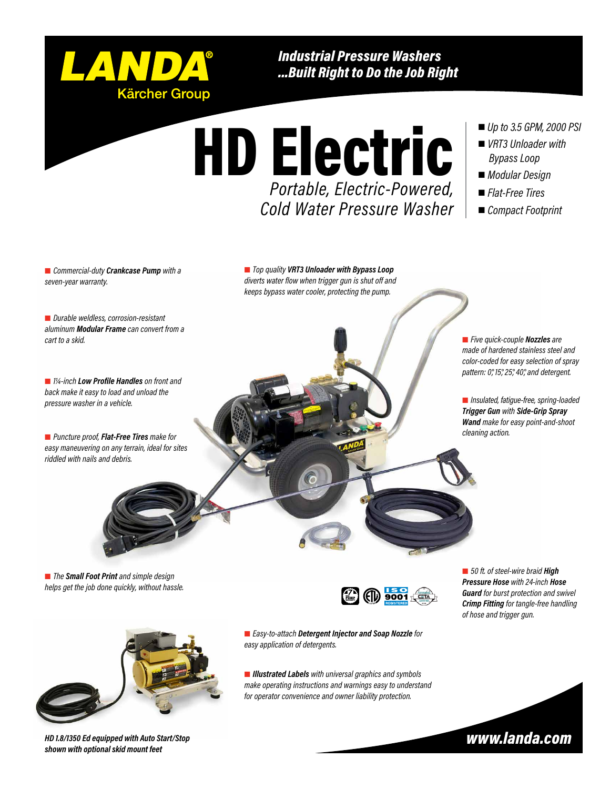

*Industrial Pressure Washers ...Built Right to Do the Job Right*

*Portable, Electric-Powered, Cold Water Pressure Washer*

### *Up to 3.5 GPM, 2000 PSI*

- *VRT3 Unloader with Bypass Loop*
- *Modular Design*
- *Flat-Free Tires*
- *Compact Footprint*

 *Commercial-duty Crankcase Pump with a seven-year warranty.*

 *Top quality VRT3 Unloader with Bypass Loop diverts water flow when trigger gun is shut off and keeps bypass water cooler, protecting the pump.*

HD Electric

 *Durable weldless, corrosion-resistant aluminum Modular Frame can convert from a cart to a skid.*

 *1¼-inch Low Profile Handles on front and back make it easy to load and unload the pressure washer in a vehicle.*

 *Puncture proof, Flat-Free Tires make for easy maneuvering on any terrain, ideal for sites riddled with nails and debris.*

 *Five quick-couple Nozzles are made of hardened stainless steel and color-coded for easy selection of spray pattern: 0°, 15°, 25°, 40°, and detergent.*

 *Insulated, fatigue-free, spring-loaded Trigger Gun with Side-Grip Spray Wand make for easy point-and-shoot cleaning action.*

 *The Small Foot Print and simple design helps get the job done quickly, without hassle.*



*HD 1.8/1350 Ed equipped with Auto Start/Stop shown with optional skid mount feet* 



■ 50 ft. of steel-wire braid **High** *Pressure Hose with 24-inch Hose Guard for burst protection and swivel Crimp Fitting for tangle-free handling of hose and trigger gun.*

 *Easy-to-attach Detergent Injector and Soap Nozzle for easy application of detergents.*

 *Illustrated Labels with universal graphics and symbols make operating instructions and warnings easy to understand for operator convenience and owner liability protection.*